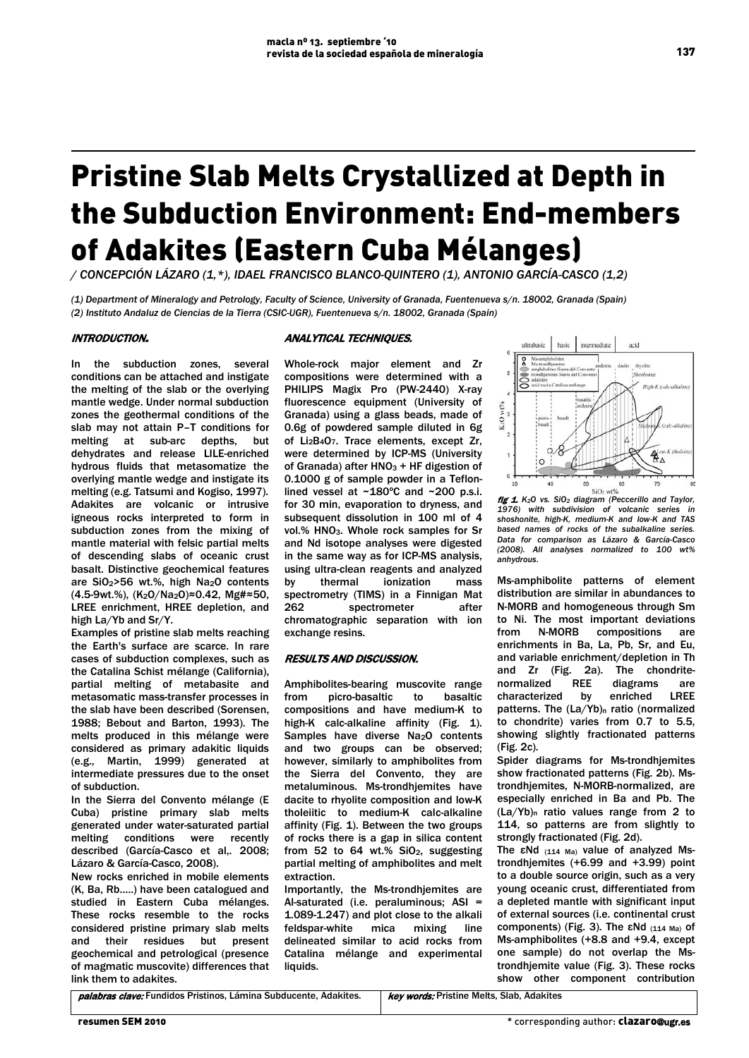# Pristine Slab Melts Crystallized at Depth in the Subduction Environment: End-members of Adakites (Eastern Cuba Mélanges)

*/ CONCEPCIÓN LÁZARO (1,\*), IDAEL FRANCISCO BLANCO-QUINTERO (1), ANTONIO GARCÍA-CASCO (1,2)*

*(1) Department of Mineralogy and Petrology, Faculty of Science, University of Granada, Fuentenueva s/n. 18002, Granada (Spain) (2) Instituto Andaluz de Ciencias de la Tierra (CSIC-UGR), Fuentenueva s/n. 18002, Granada (Spain)* 

# INTRODUCTION.

### ANALYTICAL TECHNIQUES.

In the subduction zones, several conditions can be attached and instigate the melting of the slab or the overlying mantle wedge. Under normal subduction zones the geothermal conditions of the slab may not attain P–T conditions for melting at sub-arc depths, but dehydrates and release LILE-enriched hydrous fluids that metasomatize the overlying mantle wedge and instigate its melting (e.g. Tatsumi and Kogiso, 1997). Adakites are volcanic or intrusive igneous rocks interpreted to form in subduction zones from the mixing of mantle material with felsic partial melts of descending slabs of oceanic crust basalt. Distinctive geochemical features are SiO2>56 wt.%, high Na2O contents (4.5-9wt.%), (K2O/Na2O)≈0.42, Mg#≈50, LREE enrichment, HREE depletion, and high La/Yb and Sr/Y.

Examples of pristine slab melts reaching the Earth's surface are scarce. In rare cases of subduction complexes, such as the Catalina Schist mélange (California), partial melting of metabasite and metasomatic mass-transfer processes in the slab have been described (Sorensen, 1988; Bebout and Barton, 1993). The melts produced in this mélange were considered as primary adakitic liquids (e.g., Martin, 1999) generated at intermediate pressures due to the onset of subduction.

In the Sierra del Convento mélange (E Cuba) pristine primary slab melts generated under water-saturated partial melting conditions were recently described (García-Casco et al., 2008; Lázaro & García-Casco, 2008).

New rocks enriched in mobile elements (K, Ba, Rb…..) have been catalogued and studied in Eastern Cuba mélanges. These rocks resemble to the rocks considered pristine primary slab melts and their residues but present geochemical and petrological (presence of magmatic muscovite) differences that link them to adakites.

Whole-rock major element and Zr compositions were determined with a PHILIPS Magix Pro (PW-2440) X-ray fluorescence equipment (University of Granada) using a glass beads, made of 0.6g of powdered sample diluted in 6g of Li2B4O7. Trace elements, except Zr, were determined by ICP-MS (University of Granada) after  $HNO<sub>3</sub> + HF$  digestion of 0.1000 g of sample powder in a Teflonlined vessel at ~180°C and ~200 p.s.i. for 30 min, evaporation to dryness, and subsequent dissolution in 100 ml of 4 vol.% HNO3. Whole rock samples for Sr and Nd isotope analyses were digested in the same way as for ICP-MS analysis, using ultra-clean reagents and analyzed by thermal ionization mass spectrometry (TIMS) in a Finnigan Mat 262 spectrometer after chromatographic separation with ion exchange resins.

# RESULTS AND DISCUSSION.

Amphibolites-bearing muscovite range from picro-basaltic to basaltic compositions and have medium-K to high-K calc-alkaline affinity (Fig. 1). Samples have diverse Na<sub>2</sub>O contents and two groups can be observed; however, similarly to amphibolites from the Sierra del Convento, they are metaluminous. Ms-trondhjemites have dacite to rhyolite composition and low-K tholeiitic to medium-K calc-alkaline affinity (Fig. 1). Between the two groups of rocks there is a gap in silica content from 52 to 64 wt.%  $SiO<sub>2</sub>$ , suggesting partial melting of amphibolites and melt extraction.

Importantly, the Ms-trondhjemites are Al-saturated (i.e. peraluminous; ASI = 1.089-1.247) and plot close to the alkali<br>feldspar-white mica mixing line feldspar-white mica mixing line delineated similar to acid rocks from Catalina mélange and experimental liquids.



fig 1. *K2O vs. SiO2 diagram (Peccerillo and Taylor, 1976) with subdivision of volcanic series in shoshonite, high-K, medium-K and low-K and TAS based names of rocks of the subalkaline series. Data for comparison as Lázaro & García-Casco (2008). All analyses normalized to 100 wt% anhydrous.* 

Ms-amphibolite patterns of element distribution are similar in abundances to N-MORB and homogeneous through Sm to Ni. The most important deviations<br>from N-MORB compositions are from N-MORB compositions are enrichments in Ba, La, Pb, Sr, and Eu, and variable enrichment/depletion in Th and Zr (Fig. 2a). The chondrite-<br>normalized REE diagrams are normalized REE diagrams are characterized by enriched LREE patterns. The (La/Yb)<sub>n</sub> ratio (normalized to chondrite) varies from 0.7 to 5.5, showing slightly fractionated patterns (Fig. 2c).

Spider diagrams for Ms-trondhjemites show fractionated patterns (Fig. 2b). Mstrondhjemites, N-MORB-normalized, are especially enriched in Ba and Pb. The (La/Yb)n ratio values range from 2 to 114, so patterns are from slightly to strongly fractionated (Fig. 2d).

The εNd  $(114 \text{ Ma})$  value of analyzed Mstrondhjemites (+6.99 and +3.99) point to a double source origin, such as a very young oceanic crust, differentiated from a depleted mantle with significant input of external sources (i.e. continental crust components) (Fig. 3). The εNd (114 Ma) of Ms-amphibolites (+8.8 and +9.4, except one sample) do not overlap the Mstrondhjemite value (Fig. 3). These rocks show other component contribution

palabras clave: Fundidos Pristinos, Lámina Subducente, Adakites. | key words: Pristine Melts, Slab, Adakites

137